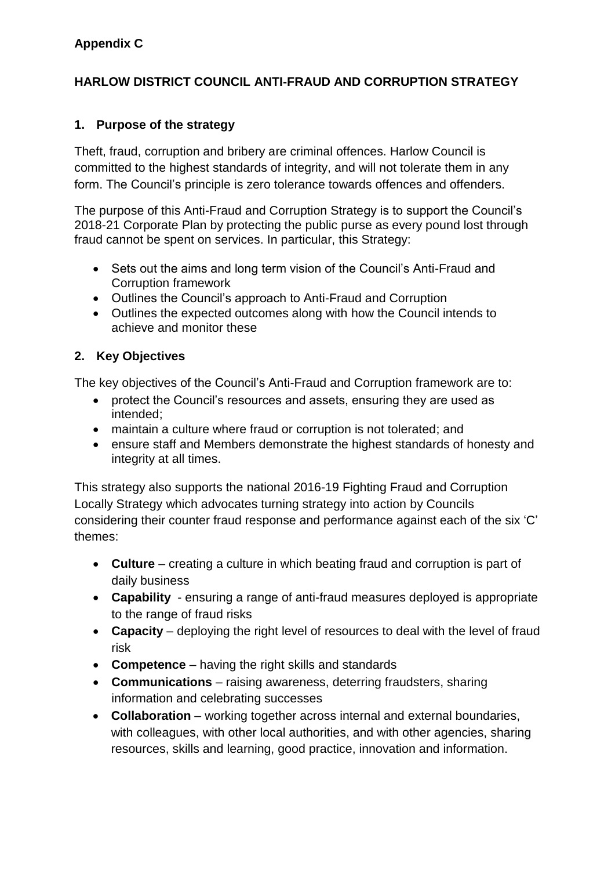# **HARLOW DISTRICT COUNCIL ANTI-FRAUD AND CORRUPTION STRATEGY**

# **1. Purpose of the strategy**

Theft, fraud, corruption and bribery are criminal offences. Harlow Council is committed to the highest standards of integrity, and will not tolerate them in any form. The Council's principle is zero tolerance towards offences and offenders.

The purpose of this Anti-Fraud and Corruption Strategy is to support the Council's 2018-21 Corporate Plan by protecting the public purse as every pound lost through fraud cannot be spent on services. In particular, this Strategy:

- Sets out the aims and long term vision of the Council's Anti-Fraud and Corruption framework
- Outlines the Council's approach to Anti-Fraud and Corruption
- Outlines the expected outcomes along with how the Council intends to achieve and monitor these

## **2. Key Objectives**

The key objectives of the Council's Anti-Fraud and Corruption framework are to:

- protect the Council's resources and assets, ensuring they are used as intended;
- maintain a culture where fraud or corruption is not tolerated; and
- ensure staff and Members demonstrate the highest standards of honesty and integrity at all times.

This strategy also supports the national 2016-19 [Fighting Fraud and Corruption](https://www.gov.uk/government/uploads/system/uploads/attachment_data/file/503657/Fighting_fraud_and_corruption_locally_strategy.pdf)  [Locally Strategy](https://www.gov.uk/government/uploads/system/uploads/attachment_data/file/503657/Fighting_fraud_and_corruption_locally_strategy.pdf) which advocates turning strategy into action by Councils considering their counter fraud response and performance against each of the six 'C' themes:

- **Culture**  creating a culture in which beating fraud and corruption is part of daily business
- **Capability**  ensuring a range of anti-fraud measures deployed is appropriate to the range of fraud risks
- **Capacity** deploving the right level of resources to deal with the level of fraud risk
- **Competence**  having the right skills and standards
- **Communications**  raising awareness, deterring fraudsters, sharing information and celebrating successes
- **Collaboration** working together across internal and external boundaries, with colleagues, with other local authorities, and with other agencies, sharing resources, skills and learning, good practice, innovation and information.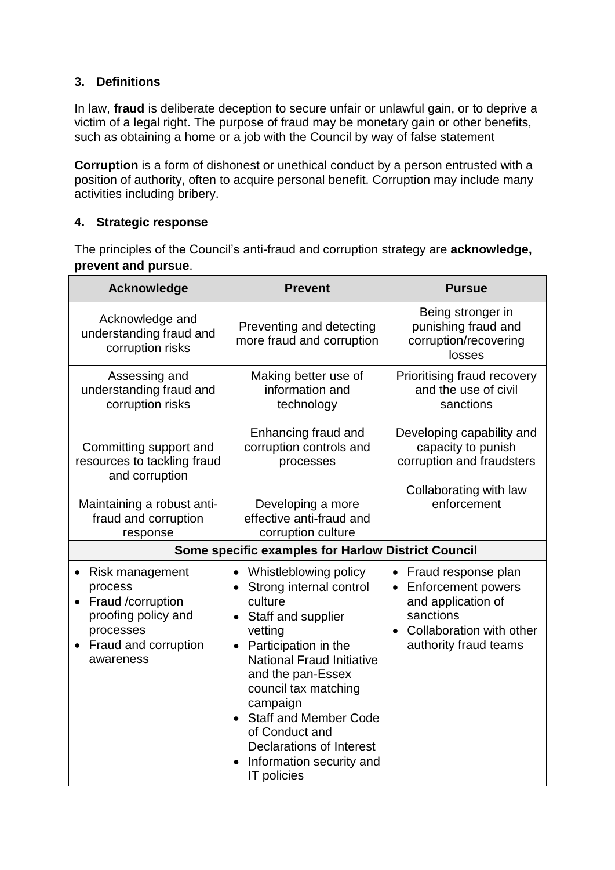# **3. Definitions**

In [law,](https://en.wikipedia.org/wiki/Law) **fraud** is [deliberate](https://en.wikipedia.org/wiki/Intent_(law)) [deception](https://en.wikipedia.org/wiki/Deception) to secure unfair or unlawful gain, or to deprive a victim of a legal right. The purpose of fraud may be monetary gain or other benefits, such as obtaining a home or a job with the Council by way of false statement

**Corruption** is a form of [dishonest](https://en.wikipedia.org/wiki/Dishonest) or unethical conduct by a person entrusted with a position of authority, often to acquire personal benefit. Corruption may include many activities including [bribery.](https://en.wikipedia.org/wiki/Bribery)

### **4. Strategic response**

The principles of the Council's anti-fraud and corruption strategy are **acknowledge, prevent and pursue**.

| <b>Acknowledge</b>                                                                                                                    | <b>Prevent</b>                                                                                                                                                                                                                                                                                                                                              | <b>Pursue</b>                                                                                                                         |
|---------------------------------------------------------------------------------------------------------------------------------------|-------------------------------------------------------------------------------------------------------------------------------------------------------------------------------------------------------------------------------------------------------------------------------------------------------------------------------------------------------------|---------------------------------------------------------------------------------------------------------------------------------------|
| Acknowledge and<br>understanding fraud and<br>corruption risks                                                                        | Preventing and detecting<br>more fraud and corruption                                                                                                                                                                                                                                                                                                       | Being stronger in<br>punishing fraud and<br>corruption/recovering<br>losses                                                           |
| Assessing and<br>understanding fraud and<br>corruption risks                                                                          | Making better use of<br>information and<br>technology                                                                                                                                                                                                                                                                                                       | Prioritising fraud recovery<br>and the use of civil<br>sanctions                                                                      |
| Committing support and<br>resources to tackling fraud<br>and corruption                                                               | Enhancing fraud and<br>corruption controls and<br>processes                                                                                                                                                                                                                                                                                                 | Developing capability and<br>capacity to punish<br>corruption and fraudsters<br>Collaborating with law                                |
| Maintaining a robust anti-<br>fraud and corruption<br>response                                                                        | Developing a more<br>effective anti-fraud and<br>corruption culture                                                                                                                                                                                                                                                                                         | enforcement                                                                                                                           |
| Some specific examples for Harlow District Council                                                                                    |                                                                                                                                                                                                                                                                                                                                                             |                                                                                                                                       |
| Risk management<br>process<br>Fraud /corruption<br>proofing policy and<br>processes<br>Fraud and corruption<br>$\bullet$<br>awareness | Whistleblowing policy<br>$\bullet$<br>• Strong internal control<br>culture<br>Staff and supplier<br>vetting<br>• Participation in the<br><b>National Fraud Initiative</b><br>and the pan-Essex<br>council tax matching<br>campaign<br><b>Staff and Member Code</b><br>of Conduct and<br>Declarations of Interest<br>Information security and<br>IT policies | • Fraud response plan<br>• Enforcement powers<br>and application of<br>sanctions<br>Collaboration with other<br>authority fraud teams |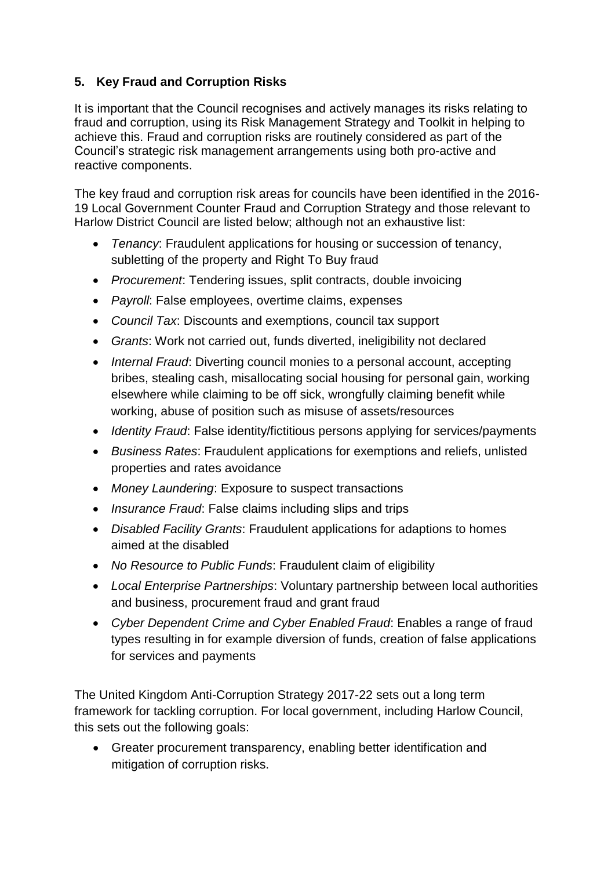# **5. Key Fraud and Corruption Risks**

It is important that the Council recognises and actively manages its risks relating to fraud and corruption, using its Risk Management Strategy and Toolkit in helping to achieve this. Fraud and corruption risks are routinely considered as part of the Council's strategic risk management arrangements using both pro-active and reactive components.

The key fraud and corruption risk areas for councils have been identified in the 2016- 19 Local Government Counter Fraud and Corruption Strategy and those relevant to Harlow District Council are listed below; although not an exhaustive list:

- *Tenancy*: Fraudulent applications for housing or succession of tenancy, subletting of the property and Right To Buy fraud
- *Procurement*: Tendering issues, split contracts, double invoicing
- *Payroll*: False employees, overtime claims, expenses
- *Council Tax*: Discounts and exemptions, council tax support
- *Grants*: Work not carried out, funds diverted, ineligibility not declared
- *Internal Fraud*: Diverting council monies to a personal account, accepting bribes, stealing cash, misallocating social housing for personal gain, working elsewhere while claiming to be off sick, wrongfully claiming benefit while working, abuse of position such as misuse of assets/resources
- *Identity Fraud*: False identity/fictitious persons applying for services/payments
- *Business Rates*: Fraudulent applications for exemptions and reliefs, unlisted properties and rates avoidance
- *Money Laundering*: Exposure to suspect transactions
- *Insurance Fraud*: False claims including slips and trips
- *Disabled Facility Grants*: Fraudulent applications for adaptions to homes aimed at the disabled
- *No Resource to Public Funds*: Fraudulent claim of eligibility
- *Local Enterprise Partnerships*: Voluntary partnership between local authorities and business, procurement fraud and grant fraud
- *Cyber Dependent Crime and Cyber Enabled Fraud*: Enables a range of fraud types resulting in for example diversion of funds, creation of false applications for services and payments

The United Kingdom Anti-Corruption Strategy 2017-22 sets out a long term framework for tackling corruption. For local government, including Harlow Council, this sets out the following goals:

 Greater procurement transparency, enabling better identification and mitigation of corruption risks.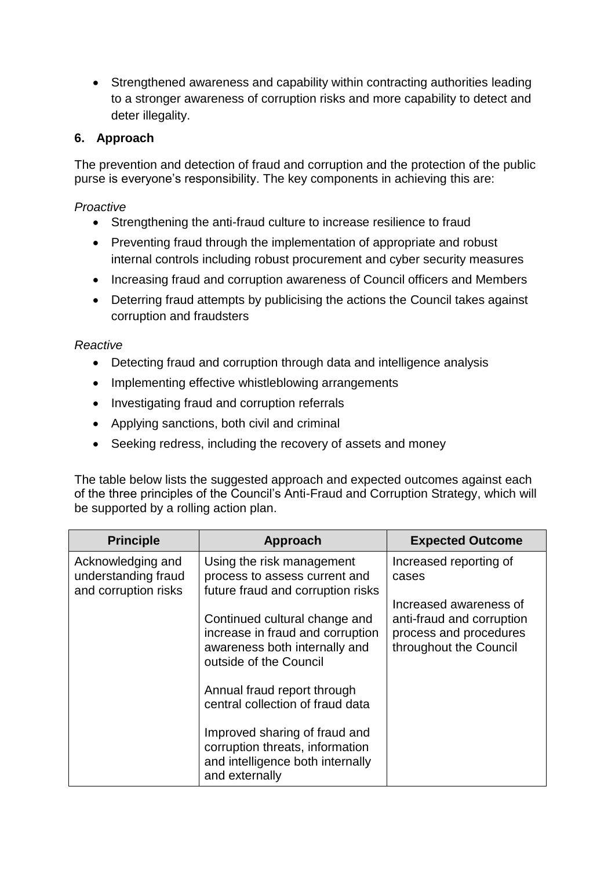Strengthened awareness and capability within contracting authorities leading to a stronger awareness of corruption risks and more capability to detect and deter illegality.

### **6. Approach**

The prevention and detection of fraud and corruption and the protection of the public purse is everyone's responsibility. The key components in achieving this are:

### *Proactive*

- Strengthening the anti-fraud culture to increase resilience to fraud
- Preventing fraud through the implementation of appropriate and robust internal controls including robust procurement and cyber security measures
- Increasing fraud and corruption awareness of Council officers and Members
- Deterring fraud attempts by publicising the actions the Council takes against corruption and fraudsters

#### *Reactive*

- Detecting fraud and corruption through data and intelligence analysis
- Implementing effective whistleblowing arrangements
- Investigating fraud and corruption referrals
- Applying sanctions, both civil and criminal
- Seeking redress, including the recovery of assets and money

The table below lists the suggested approach and expected outcomes against each of the three principles of the Council's Anti-Fraud and Corruption Strategy, which will be supported by a rolling action plan.

| <b>Principle</b>                                                 | Approach                                                                                                                     | <b>Expected Outcome</b>                                                                                 |
|------------------------------------------------------------------|------------------------------------------------------------------------------------------------------------------------------|---------------------------------------------------------------------------------------------------------|
| Acknowledging and<br>understanding fraud<br>and corruption risks | Using the risk management<br>process to assess current and<br>future fraud and corruption risks                              | Increased reporting of<br>cases                                                                         |
|                                                                  | Continued cultural change and<br>increase in fraud and corruption<br>awareness both internally and<br>outside of the Council | Increased awareness of<br>anti-fraud and corruption<br>process and procedures<br>throughout the Council |
|                                                                  | Annual fraud report through<br>central collection of fraud data                                                              |                                                                                                         |
|                                                                  | Improved sharing of fraud and<br>corruption threats, information<br>and intelligence both internally<br>and externally       |                                                                                                         |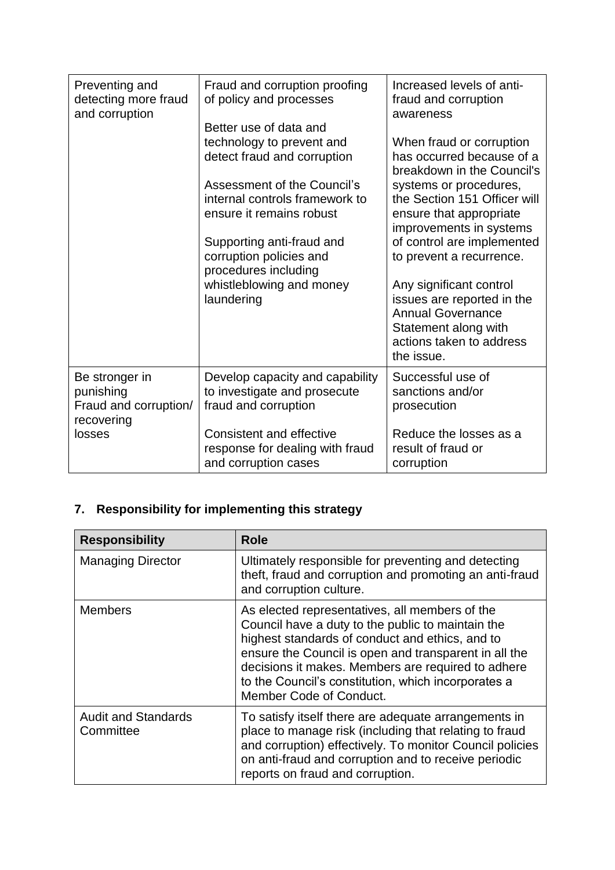| Preventing and<br>detecting more fraud<br>and corruption           | Fraud and corruption proofing<br>of policy and processes<br>Better use of data and                                                                    | Increased levels of anti-<br>fraud and corruption<br>awareness                                                                                                                                                |
|--------------------------------------------------------------------|-------------------------------------------------------------------------------------------------------------------------------------------------------|---------------------------------------------------------------------------------------------------------------------------------------------------------------------------------------------------------------|
|                                                                    | technology to prevent and<br>detect fraud and corruption<br>Assessment of the Council's<br>internal controls framework to<br>ensure it remains robust | When fraud or corruption<br>has occurred because of a<br>breakdown in the Council's<br>systems or procedures,<br>the Section 151 Officer will<br>ensure that appropriate<br>improvements in systems           |
|                                                                    | Supporting anti-fraud and<br>corruption policies and<br>procedures including<br>whistleblowing and money<br>laundering                                | of control are implemented<br>to prevent a recurrence.<br>Any significant control<br>issues are reported in the<br><b>Annual Governance</b><br>Statement along with<br>actions taken to address<br>the issue. |
| Be stronger in<br>punishing<br>Fraud and corruption/<br>recovering | Develop capacity and capability<br>to investigate and prosecute<br>fraud and corruption                                                               | Successful use of<br>sanctions and/or<br>prosecution                                                                                                                                                          |
| losses                                                             | <b>Consistent and effective</b><br>response for dealing with fraud<br>and corruption cases                                                            | Reduce the losses as a<br>result of fraud or<br>corruption                                                                                                                                                    |

# **7. Responsibility for implementing this strategy**

| <b>Responsibility</b>                   | <b>Role</b>                                                                                                                                                                                                                                                                                                                                             |
|-----------------------------------------|---------------------------------------------------------------------------------------------------------------------------------------------------------------------------------------------------------------------------------------------------------------------------------------------------------------------------------------------------------|
| <b>Managing Director</b>                | Ultimately responsible for preventing and detecting<br>theft, fraud and corruption and promoting an anti-fraud<br>and corruption culture.                                                                                                                                                                                                               |
| <b>Members</b>                          | As elected representatives, all members of the<br>Council have a duty to the public to maintain the<br>highest standards of conduct and ethics, and to<br>ensure the Council is open and transparent in all the<br>decisions it makes. Members are required to adhere<br>to the Council's constitution, which incorporates a<br>Member Code of Conduct. |
| <b>Audit and Standards</b><br>Committee | To satisfy itself there are adequate arrangements in<br>place to manage risk (including that relating to fraud<br>and corruption) effectively. To monitor Council policies<br>on anti-fraud and corruption and to receive periodic<br>reports on fraud and corruption.                                                                                  |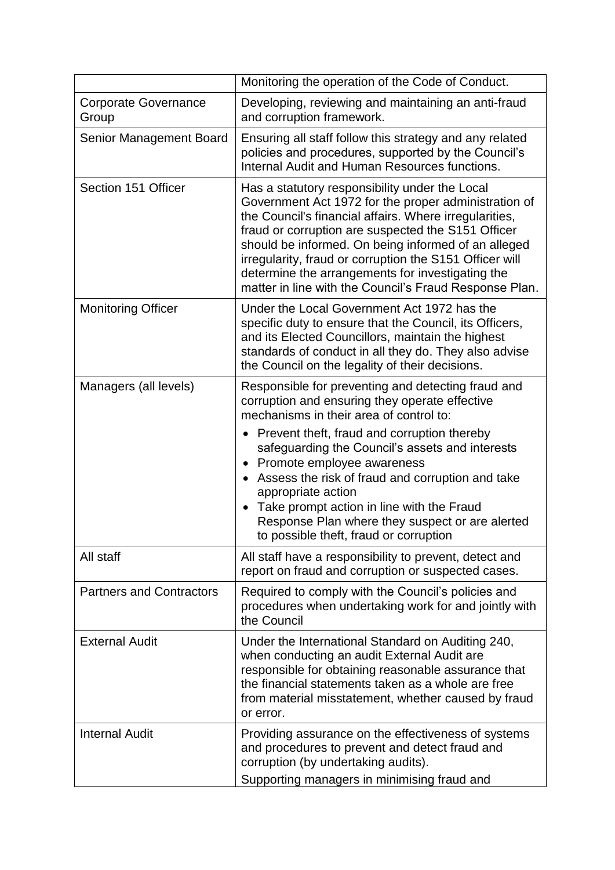|                                 | Monitoring the operation of the Code of Conduct.                                                                                                                                                                                                                                                                                                                                                                                                       |
|---------------------------------|--------------------------------------------------------------------------------------------------------------------------------------------------------------------------------------------------------------------------------------------------------------------------------------------------------------------------------------------------------------------------------------------------------------------------------------------------------|
| Corporate Governance<br>Group   | Developing, reviewing and maintaining an anti-fraud<br>and corruption framework.                                                                                                                                                                                                                                                                                                                                                                       |
| Senior Management Board         | Ensuring all staff follow this strategy and any related<br>policies and procedures, supported by the Council's<br>Internal Audit and Human Resources functions.                                                                                                                                                                                                                                                                                        |
| Section 151 Officer             | Has a statutory responsibility under the Local<br>Government Act 1972 for the proper administration of<br>the Council's financial affairs. Where irregularities,<br>fraud or corruption are suspected the S151 Officer<br>should be informed. On being informed of an alleged<br>irregularity, fraud or corruption the S151 Officer will<br>determine the arrangements for investigating the<br>matter in line with the Council's Fraud Response Plan. |
| <b>Monitoring Officer</b>       | Under the Local Government Act 1972 has the<br>specific duty to ensure that the Council, its Officers,<br>and its Elected Councillors, maintain the highest<br>standards of conduct in all they do. They also advise<br>the Council on the legality of their decisions.                                                                                                                                                                                |
| Managers (all levels)           | Responsible for preventing and detecting fraud and<br>corruption and ensuring they operate effective<br>mechanisms in their area of control to:                                                                                                                                                                                                                                                                                                        |
|                                 | Prevent theft, fraud and corruption thereby<br>$\bullet$<br>safeguarding the Council's assets and interests<br>Promote employee awareness<br>Assess the risk of fraud and corruption and take<br>appropriate action<br>Take prompt action in line with the Fraud<br>Response Plan where they suspect or are alerted<br>to possible theft, fraud or corruption                                                                                          |
| All staff                       | All staff have a responsibility to prevent, detect and<br>report on fraud and corruption or suspected cases.                                                                                                                                                                                                                                                                                                                                           |
| <b>Partners and Contractors</b> | Required to comply with the Council's policies and<br>procedures when undertaking work for and jointly with<br>the Council                                                                                                                                                                                                                                                                                                                             |
| <b>External Audit</b>           | Under the International Standard on Auditing 240,<br>when conducting an audit External Audit are<br>responsible for obtaining reasonable assurance that<br>the financial statements taken as a whole are free<br>from material misstatement, whether caused by fraud<br>or error.                                                                                                                                                                      |
| <b>Internal Audit</b>           | Providing assurance on the effectiveness of systems<br>and procedures to prevent and detect fraud and<br>corruption (by undertaking audits).<br>Supporting managers in minimising fraud and                                                                                                                                                                                                                                                            |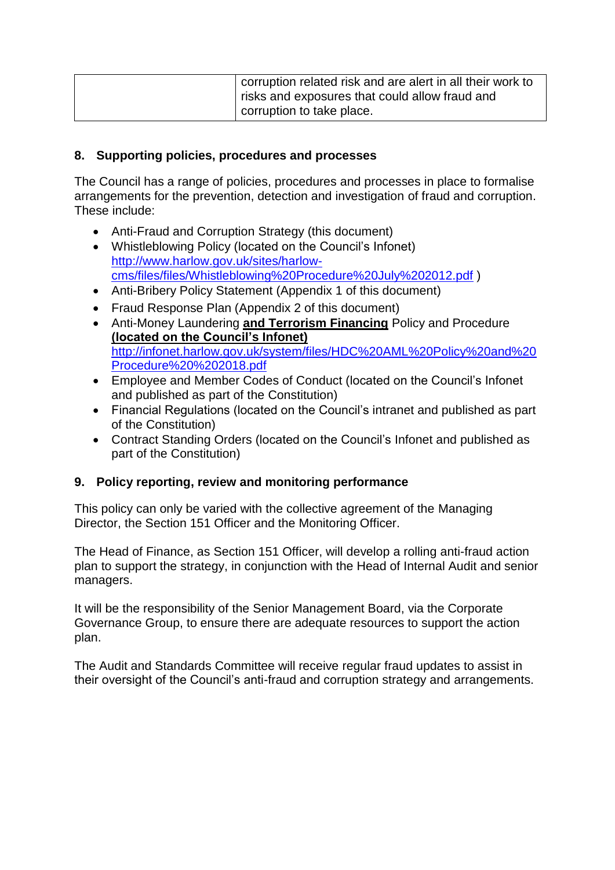| corruption related risk and are alert in all their work to<br>risks and exposures that could allow fraud and |
|--------------------------------------------------------------------------------------------------------------|
| corruption to take place.                                                                                    |

#### **8. Supporting policies, procedures and processes**

The Council has a range of policies, procedures and processes in place to formalise arrangements for the prevention, detection and investigation of fraud and corruption. These include:

- Anti-Fraud and Corruption Strategy (this document)
- Whistleblowing Policy (located on the Council's Infonet) [http://www.harlow.gov.uk/sites/harlow](http://www.harlow.gov.uk/sites/harlow-cms/files/files/Whistleblowing%20Procedure%20July%202012.pdf)[cms/files/files/Whistleblowing%20Procedure%20July%202012.pdf](http://www.harlow.gov.uk/sites/harlow-cms/files/files/Whistleblowing%20Procedure%20July%202012.pdf) )
- Anti-Bribery Policy Statement (Appendix 1 of this document)
- Fraud Response Plan (Appendix 2 of this document)
- Anti-Money Laundering **and Terrorism Financing** Policy and Procedure **(located on the Council's Infonet)** [http://infonet.harlow.gov.uk/system/files/HDC%20AML%20Policy%20and%20](http://infonet.harlow.gov.uk/system/files/HDC%20AML%20Policy%20and%20Procedure%20%202018.pdf) [Procedure%20%202018.pdf](http://infonet.harlow.gov.uk/system/files/HDC%20AML%20Policy%20and%20Procedure%20%202018.pdf)
- Employee and Member Codes of Conduct (located on the Council's Infonet and published as part of the Constitution)
- Financial Regulations (located on the Council's intranet and published as part of the Constitution)
- Contract Standing Orders (located on the Council's Infonet and published as part of the Constitution)

### **9. Policy reporting, review and monitoring performance**

This policy can only be varied with the collective agreement of the Managing Director, the Section 151 Officer and the Monitoring Officer.

The Head of Finance, as Section 151 Officer, will develop a rolling anti-fraud action plan to support the strategy, in conjunction with the Head of Internal Audit and senior managers.

It will be the responsibility of the Senior Management Board, via the Corporate Governance Group, to ensure there are adequate resources to support the action plan.

The Audit and Standards Committee will receive regular fraud updates to assist in their oversight of the Council's anti-fraud and corruption strategy and arrangements.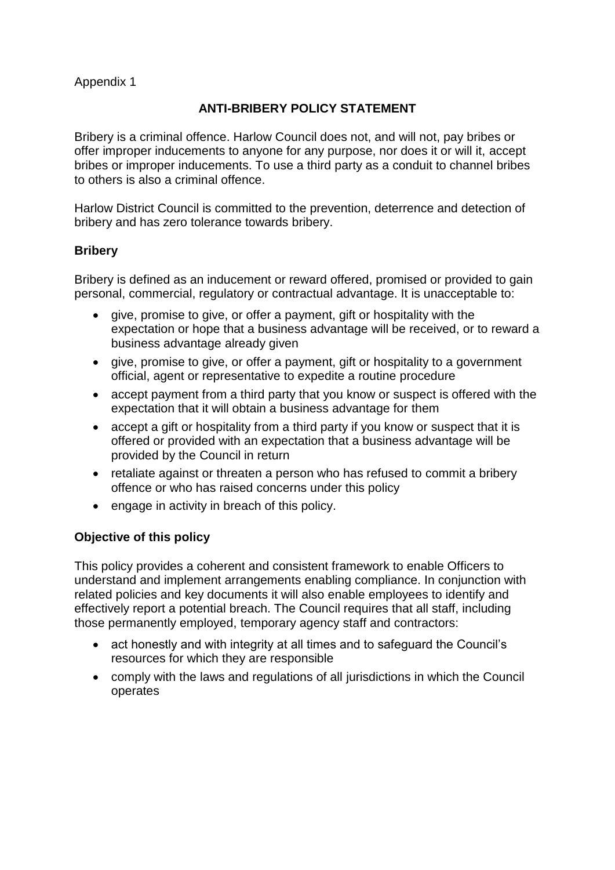### Appendix 1

## **ANTI-BRIBERY POLICY STATEMENT**

Bribery is a criminal offence. Harlow Council does not, and will not, pay bribes or offer improper inducements to anyone for any purpose, nor does it or will it, accept bribes or improper inducements. To use a third party as a conduit to channel bribes to others is also a criminal offence.

Harlow District Council is committed to the prevention, deterrence and detection of bribery and has zero tolerance towards bribery.

### **Bribery**

Bribery is defined as an inducement or reward offered, promised or provided to gain personal, commercial, regulatory or contractual advantage. It is unacceptable to:

- give, promise to give, or offer a payment, gift or hospitality with the expectation or hope that a business advantage will be received, or to reward a business advantage already given
- give, promise to give, or offer a payment, gift or hospitality to a government official, agent or representative to expedite a routine procedure
- accept payment from a third party that you know or suspect is offered with the expectation that it will obtain a business advantage for them
- accept a gift or hospitality from a third party if you know or suspect that it is offered or provided with an expectation that a business advantage will be provided by the Council in return
- retaliate against or threaten a person who has refused to commit a bribery offence or who has raised concerns under this policy
- engage in activity in breach of this policy.

### **Objective of this policy**

This policy provides a coherent and consistent framework to enable Officers to understand and implement arrangements enabling compliance. In conjunction with related policies and key documents it will also enable employees to identify and effectively report a potential breach. The Council requires that all staff, including those permanently employed, temporary agency staff and contractors:

- act honestly and with integrity at all times and to safeguard the Council's resources for which they are responsible
- comply with the laws and regulations of all jurisdictions in which the Council operates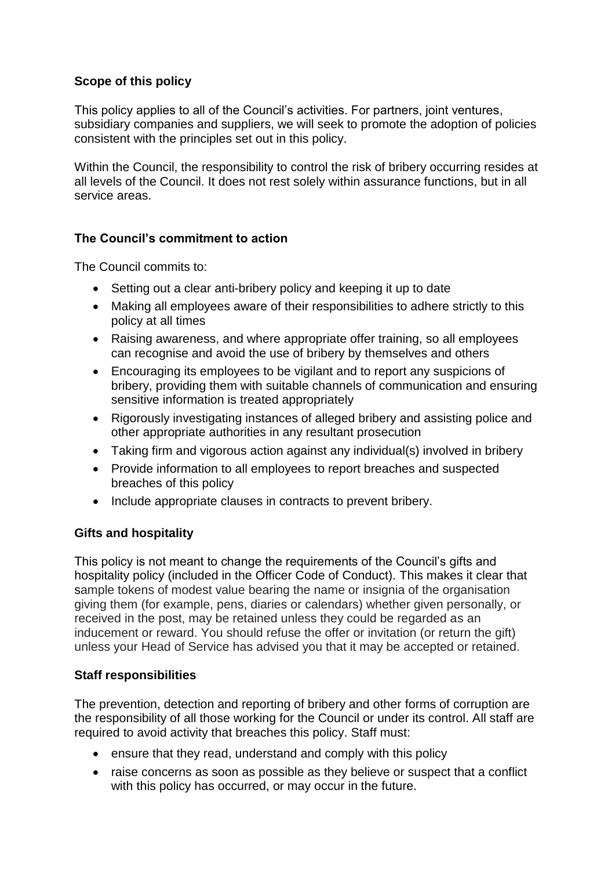## **Scope of this policy**

This policy applies to all of the Council's activities. For partners, joint ventures, subsidiary companies and suppliers, we will seek to promote the adoption of policies consistent with the principles set out in this policy.

Within the Council, the responsibility to control the risk of bribery occurring resides at all levels of the Council. It does not rest solely within assurance functions, but in all service areas.

## **The Council's commitment to action**

The Council commits to:

- Setting out a clear anti-bribery policy and keeping it up to date
- Making all employees aware of their responsibilities to adhere strictly to this policy at all times
- Raising awareness, and where appropriate offer training, so all employees can recognise and avoid the use of bribery by themselves and others
- Encouraging its employees to be vigilant and to report any suspicions of bribery, providing them with suitable channels of communication and ensuring sensitive information is treated appropriately
- Rigorously investigating instances of alleged bribery and assisting police and other appropriate authorities in any resultant prosecution
- Taking firm and vigorous action against any individual(s) involved in bribery
- Provide information to all employees to report breaches and suspected breaches of this policy
- Include appropriate clauses in contracts to prevent bribery.

### **Gifts and hospitality**

This policy is not meant to change the requirements of the Council's gifts and hospitality policy (included in the Officer Code of Conduct). This makes it clear that sample tokens of modest value bearing the name or insignia of the organisation giving them (for example, pens, diaries or calendars) whether given personally, or received in the post, may be retained unless they could be regarded as an inducement or reward. You should refuse the offer or invitation (or return the gift) unless your Head of Service has advised you that it may be accepted or retained.

### **Staff responsibilities**

The prevention, detection and reporting of bribery and other forms of corruption are the responsibility of all those working for the Council or under its control. All staff are required to avoid activity that breaches this policy. Staff must:

- ensure that they read, understand and comply with this policy
- raise concerns as soon as possible as they believe or suspect that a conflict with this policy has occurred, or may occur in the future.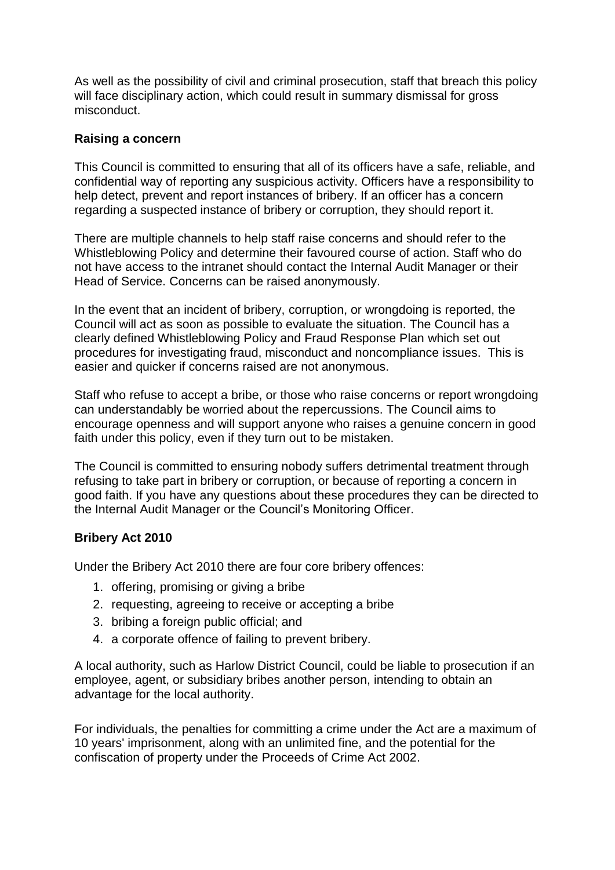As well as the possibility of civil and criminal prosecution, staff that breach this policy will face disciplinary action, which could result in summary dismissal for gross misconduct.

#### **Raising a concern**

This Council is committed to ensuring that all of its officers have a safe, reliable, and confidential way of reporting any suspicious activity. Officers have a responsibility to help detect, prevent and report instances of bribery. If an officer has a concern regarding a suspected instance of bribery or corruption, they should report it.

There are multiple channels to help staff raise concerns and should refer to the Whistleblowing Policy and determine their favoured course of action. Staff who do not have access to the intranet should contact the Internal Audit Manager or their Head of Service. Concerns can be raised anonymously.

In the event that an incident of bribery, corruption, or wrongdoing is reported, the Council will act as soon as possible to evaluate the situation. The Council has a clearly defined Whistleblowing Policy and Fraud Response Plan which set out procedures for investigating fraud, misconduct and noncompliance issues. This is easier and quicker if concerns raised are not anonymous.

Staff who refuse to accept a bribe, or those who raise concerns or report wrongdoing can understandably be worried about the repercussions. The Council aims to encourage openness and will support anyone who raises a genuine concern in good faith under this policy, even if they turn out to be mistaken.

The Council is committed to ensuring nobody suffers detrimental treatment through refusing to take part in bribery or corruption, or because of reporting a concern in good faith. If you have any questions about these procedures they can be directed to the Internal Audit Manager or the Council's Monitoring Officer.

### **Bribery Act 2010**

Under the Bribery Act 2010 there are four core bribery offences:

- 1. offering, promising or giving a bribe
- 2. requesting, agreeing to receive or accepting a bribe
- 3. bribing a foreign public official; and
- 4. a corporate offence of failing to prevent bribery.

A local authority, such as Harlow District Council, could be liable to prosecution if an employee, agent, or subsidiary bribes another person, intending to obtain an advantage for the local authority.

For individuals, the penalties for committing a crime under the Act are a maximum of 10 years' imprisonment, along with an unlimited fine, and the potential for the confiscation of property under the [Proceeds of Crime Act 2002.](https://en.wikipedia.org/wiki/Proceeds_of_Crime_Act_2002)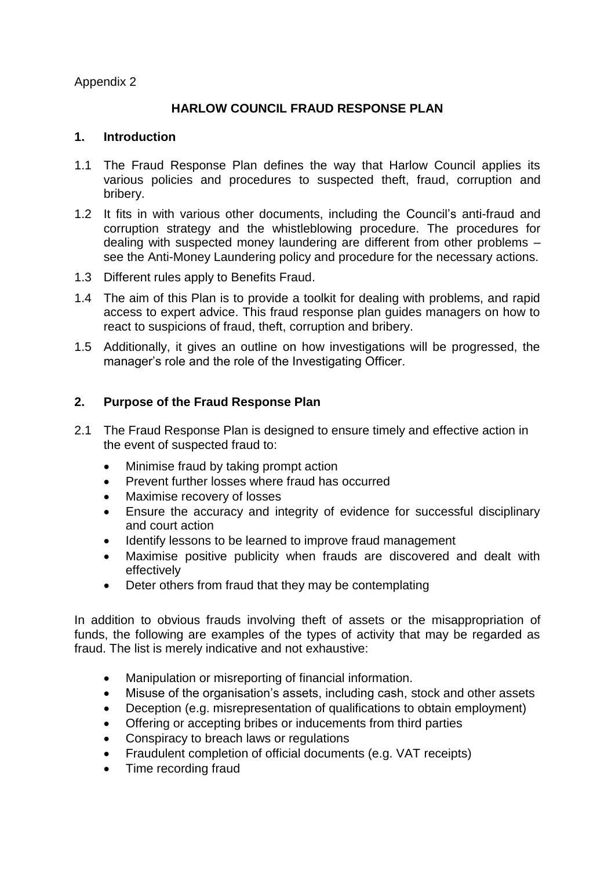Appendix 2

### **HARLOW COUNCIL FRAUD RESPONSE PLAN**

#### **1. Introduction**

- 1.1 The Fraud Response Plan defines the way that Harlow Council applies its various policies and procedures to suspected theft, fraud, corruption and bribery.
- 1.2 It fits in with various other documents, including the Council's anti-fraud and corruption strategy and the whistleblowing procedure. The procedures for dealing with suspected money laundering are different from other problems – see the Anti-Money Laundering policy and procedure for the necessary actions.
- 1.3 Different rules apply to Benefits Fraud.
- 1.4 The aim of this Plan is to provide a toolkit for dealing with problems, and rapid access to expert advice. This fraud response plan guides managers on how to react to suspicions of fraud, theft, corruption and bribery.
- 1.5 Additionally, it gives an outline on how investigations will be progressed, the manager's role and the role of the Investigating Officer.

### **2. Purpose of the Fraud Response Plan**

- 2.1 The Fraud Response Plan is designed to ensure timely and effective action in the event of suspected fraud to:
	- Minimise fraud by taking prompt action
	- Prevent further losses where fraud has occurred
	- Maximise recovery of losses
	- Ensure the accuracy and integrity of evidence for successful disciplinary and court action
	- Identify lessons to be learned to improve fraud management
	- Maximise positive publicity when frauds are discovered and dealt with effectively
	- Deter others from fraud that they may be contemplating

In addition to obvious frauds involving theft of assets or the misappropriation of funds, the following are examples of the types of activity that may be regarded as fraud. The list is merely indicative and not exhaustive:

- Manipulation or misreporting of financial information.
- Misuse of the organisation's assets, including cash, stock and other assets
- Deception (e.g. misrepresentation of qualifications to obtain employment)
- Offering or accepting bribes or inducements from third parties
- Conspiracy to breach laws or regulations
- Fraudulent completion of official documents (e.g. VAT receipts)
- Time recording fraud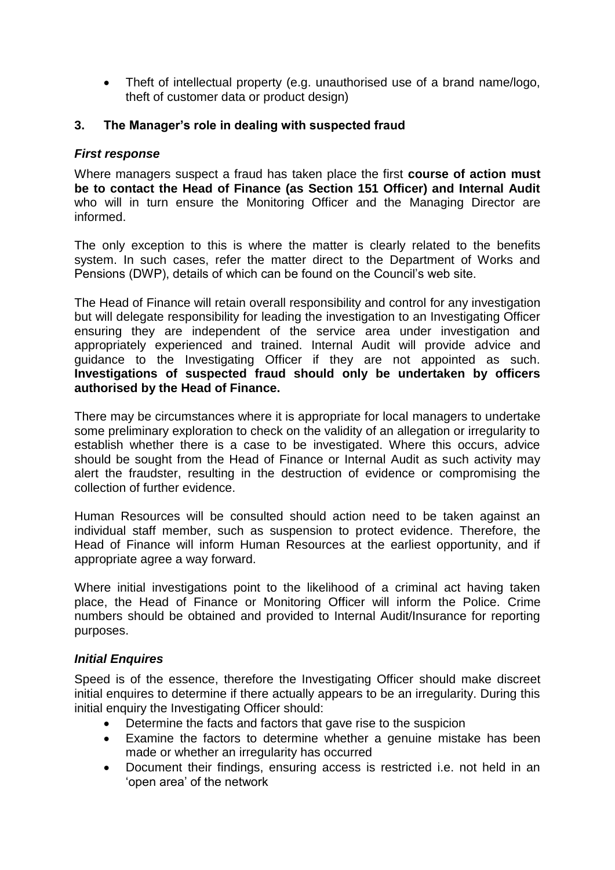Theft of intellectual property (e.g. unauthorised use of a brand name/logo, theft of customer data or product design)

#### **3. The Manager's role in dealing with suspected fraud**

#### *First response*

Where managers suspect a fraud has taken place the first **course of action must be to contact the Head of Finance (as Section 151 Officer) and Internal Audit** who will in turn ensure the Monitoring Officer and the Managing Director are informed.

The only exception to this is where the matter is clearly related to the benefits system. In such cases, refer the matter direct to the Department of Works and Pensions (DWP), details of which can be found on the Council's web site.

The Head of Finance will retain overall responsibility and control for any investigation but will delegate responsibility for leading the investigation to an Investigating Officer ensuring they are independent of the service area under investigation and appropriately experienced and trained. Internal Audit will provide advice and guidance to the Investigating Officer if they are not appointed as such. **Investigations of suspected fraud should only be undertaken by officers authorised by the Head of Finance.** 

There may be circumstances where it is appropriate for local managers to undertake some preliminary exploration to check on the validity of an allegation or irregularity to establish whether there is a case to be investigated. Where this occurs, advice should be sought from the Head of Finance or Internal Audit as such activity may alert the fraudster, resulting in the destruction of evidence or compromising the collection of further evidence.

Human Resources will be consulted should action need to be taken against an individual staff member, such as suspension to protect evidence. Therefore, the Head of Finance will inform Human Resources at the earliest opportunity, and if appropriate agree a way forward.

Where initial investigations point to the likelihood of a criminal act having taken place, the Head of Finance or Monitoring Officer will inform the Police. Crime numbers should be obtained and provided to Internal Audit/Insurance for reporting purposes.

### *Initial Enquires*

Speed is of the essence, therefore the Investigating Officer should make discreet initial enquires to determine if there actually appears to be an irregularity. During this initial enquiry the Investigating Officer should:

- Determine the facts and factors that gave rise to the suspicion
- Examine the factors to determine whether a genuine mistake has been made or whether an irregularity has occurred
- Document their findings, ensuring access is restricted i.e. not held in an 'open area' of the network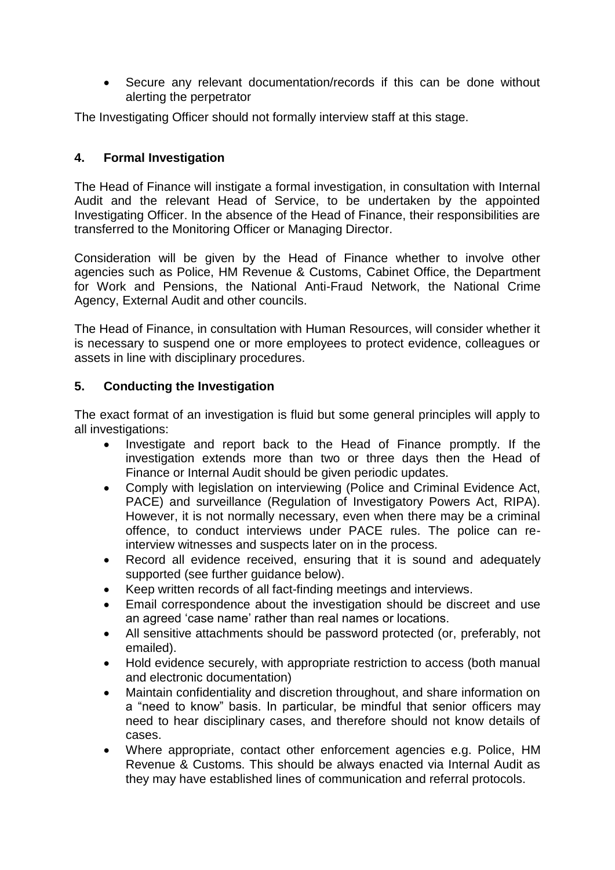Secure any relevant documentation/records if this can be done without alerting the perpetrator

The Investigating Officer should not formally interview staff at this stage.

### **4. Formal Investigation**

The Head of Finance will instigate a formal investigation, in consultation with Internal Audit and the relevant Head of Service, to be undertaken by the appointed Investigating Officer. In the absence of the Head of Finance, their responsibilities are transferred to the Monitoring Officer or Managing Director.

Consideration will be given by the Head of Finance whether to involve other agencies such as Police, HM Revenue & Customs, Cabinet Office, the Department for Work and Pensions, the National Anti-Fraud Network, the National Crime Agency, External Audit and other councils.

The Head of Finance, in consultation with Human Resources, will consider whether it is necessary to suspend one or more employees to protect evidence, colleagues or assets in line with disciplinary procedures.

### **5. Conducting the Investigation**

The exact format of an investigation is fluid but some general principles will apply to all investigations:

- Investigate and report back to the Head of Finance promptly. If the investigation extends more than two or three days then the Head of Finance or Internal Audit should be given periodic updates.
- Comply with legislation on interviewing (Police and Criminal Evidence Act, PACE) and surveillance (Regulation of Investigatory Powers Act, RIPA). However, it is not normally necessary, even when there may be a criminal offence, to conduct interviews under PACE rules. The police can reinterview witnesses and suspects later on in the process.
- Record all evidence received, ensuring that it is sound and adequately supported (see further guidance below).
- Keep written records of all fact-finding meetings and interviews.
- Email correspondence about the investigation should be discreet and use an agreed 'case name' rather than real names or locations.
- All sensitive attachments should be password protected (or, preferably, not emailed).
- Hold evidence securely, with appropriate restriction to access (both manual and electronic documentation)
- Maintain confidentiality and discretion throughout, and share information on a "need to know" basis. In particular, be mindful that senior officers may need to hear disciplinary cases, and therefore should not know details of cases.
- Where appropriate, contact other enforcement agencies e.g. Police, HM Revenue & Customs. This should be always enacted via Internal Audit as they may have established lines of communication and referral protocols.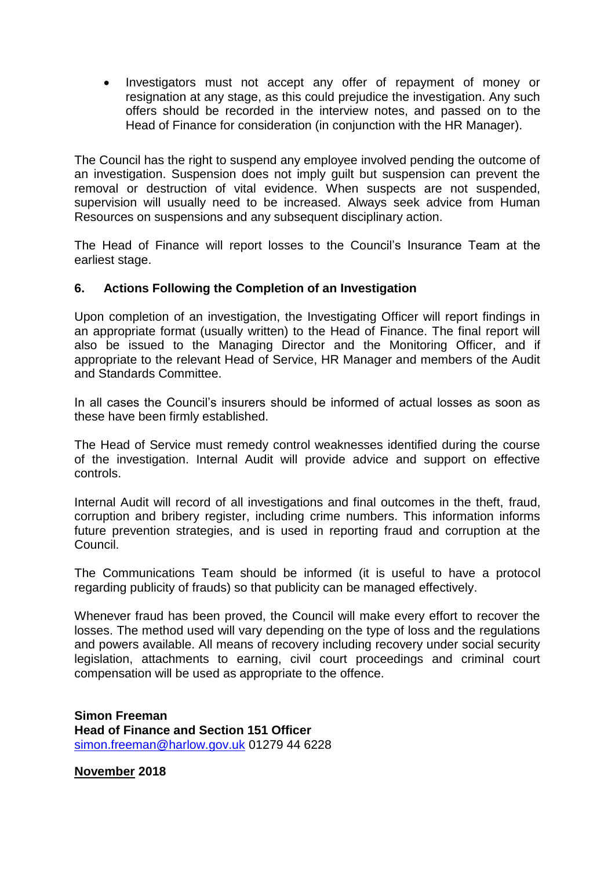Investigators must not accept any offer of repayment of money or resignation at any stage, as this could prejudice the investigation. Any such offers should be recorded in the interview notes, and passed on to the Head of Finance for consideration (in conjunction with the HR Manager).

The Council has the right to suspend any employee involved pending the outcome of an investigation. Suspension does not imply guilt but suspension can prevent the removal or destruction of vital evidence. When suspects are not suspended, supervision will usually need to be increased. Always seek advice from Human Resources on suspensions and any subsequent disciplinary action.

The Head of Finance will report losses to the Council's Insurance Team at the earliest stage.

#### **6. Actions Following the Completion of an Investigation**

Upon completion of an investigation, the Investigating Officer will report findings in an appropriate format (usually written) to the Head of Finance. The final report will also be issued to the Managing Director and the Monitoring Officer, and if appropriate to the relevant Head of Service, HR Manager and members of the Audit and Standards Committee.

In all cases the Council's insurers should be informed of actual losses as soon as these have been firmly established.

The Head of Service must remedy control weaknesses identified during the course of the investigation. Internal Audit will provide advice and support on effective controls.

Internal Audit will record of all investigations and final outcomes in the theft, fraud, corruption and bribery register, including crime numbers. This information informs future prevention strategies, and is used in reporting fraud and corruption at the Council.

The Communications Team should be informed (it is useful to have a protocol regarding publicity of frauds) so that publicity can be managed effectively.

Whenever fraud has been proved, the Council will make every effort to recover the losses. The method used will vary depending on the type of loss and the regulations and powers available. All means of recovery including recovery under social security legislation, attachments to earning, civil court proceedings and criminal court compensation will be used as appropriate to the offence.

**Simon Freeman Head of Finance and Section 151 Officer** [simon.freeman@harlow.gov.uk](mailto:simon.freeman@harlow.gov.uk) 01279 44 6228

**November 2018**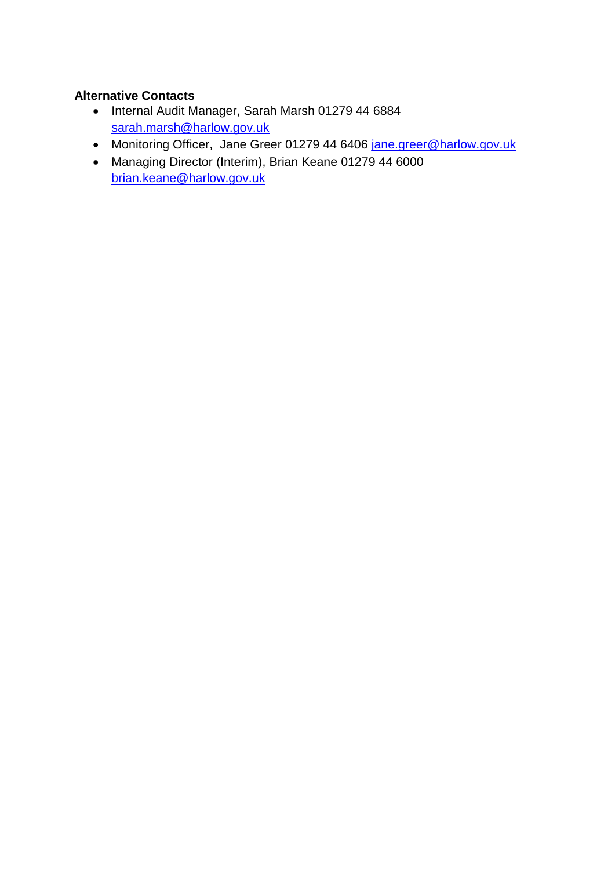## **Alternative Contacts**

- Internal Audit Manager, Sarah Marsh 01279 44 6884 [sarah.marsh@harlow.gov.uk](mailto:sarah.marsh@harlow.gov.uk)
- Monitoring Officer, Jane Greer 01279 44 6406 [jane.greer@harlow.gov.uk](mailto:brian.keane@harlow.gov.uk)
- Managing Director (Interim), Brian Keane 01279 44 6000 [brian.keane@harlow.gov.uk](mailto:malcolm.morley@harlow.gov.uk)